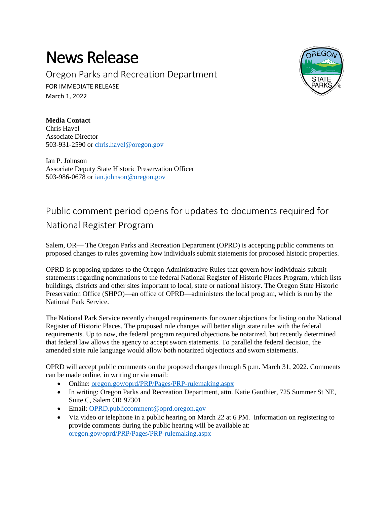## News Release

Oregon Parks and Recreation Department FOR IMMEDIATE RELEASE March 1, 2022



**Media Contact** Chris Havel Associate Director 503-931-2590 or [chris.havel@oregon.gov](mailto:chris.havel@oregon.gov)

Ian P. Johnson Associate Deputy State Historic Preservation Officer 503-986-0678 or [ian.johnson@oregon.gov](mailto:ian.johnson@oregon.gov)

## Public comment period opens for updates to documents required for National Register Program

Salem, OR— The Oregon Parks and Recreation Department (OPRD) is accepting public comments on proposed changes to rules governing how individuals submit statements for proposed historic properties.

OPRD is proposing updates to the Oregon Administrative Rules that govern how individuals submit statements regarding nominations to the federal National Register of Historic Places Program, which lists buildings, districts and other sites important to local, state or national history. The Oregon State Historic Preservation Office (SHPO)—an office of OPRD—administers the local program, which is run by the National Park Service.

The National Park Service recently changed requirements for owner objections for listing on the National Register of Historic Places. The proposed rule changes will better align state rules with the federal requirements. Up to now, the federal program required objections be notarized, but recently determined that federal law allows the agency to accept sworn statements. To parallel the federal decision, the amended state rule language would allow both notarized objections and sworn statements.

OPRD will accept public comments on the proposed changes through 5 p.m. March 31, 2022. Comments can be made online, in writing or via email:

- Online: [oregon.gov/oprd/PRP/Pages/PRP-rulemaking.aspx](https://www.oregon.gov/oprd/PRP/Pages/PRP-rulemaking.aspx)
- In writing: Oregon Parks and Recreation Department, attn. Katie Gauthier, 725 Summer St NE, Suite C, Salem OR 97301
- Email: [OPRD.publiccomment@oprd.oregon.gov](mailto:OPRD.publiccomment@oprd.oregon.gov)
- Via video or telephone in a public hearing on March 22 at 6 PM. Information on registering to provide comments during the public hearing will be available at: [oregon.gov/oprd/PRP/Pages/PRP-rulemaking.aspx](https://www.oregon.gov/oprd/PRP/Pages/PRP-rulemaking.aspx)